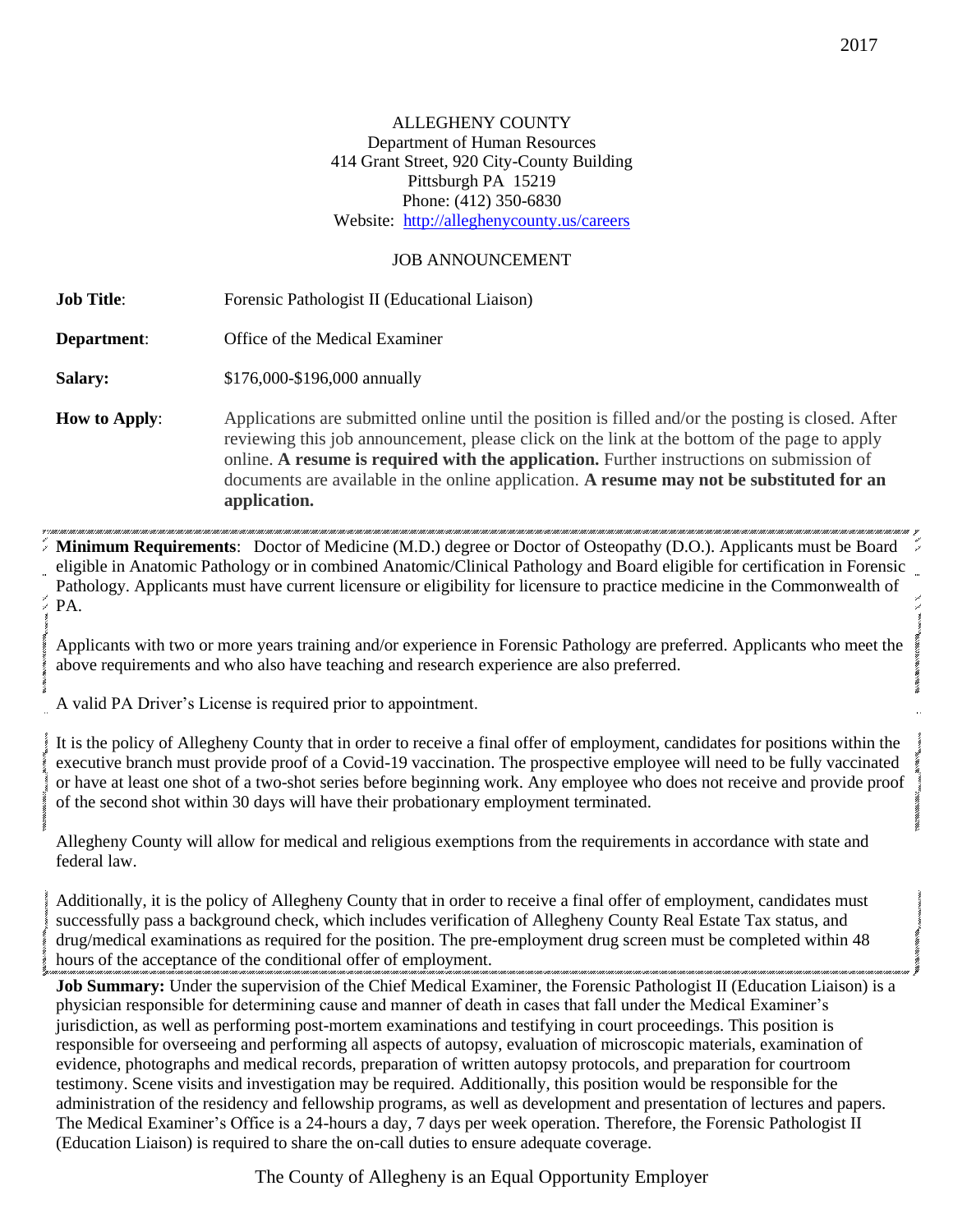## ALLEGHENY COUNTY Department of Human Resources 414 Grant Street, 920 City-County Building Pittsburgh PA 15219 Phone: (412) 350-6830 Website: <http://alleghenycounty.us/careers>

## JOB ANNOUNCEMENT

**Job Title:** Forensic Pathologist II (Educational Liaison) **Department:** Office of the Medical Examiner **Salary:** \$176,000-\$196,000 annually **How to Apply:** Applications are submitted online until the position is filled and/or the posting is closed. After reviewing this job announcement, please click on the link at the bottom of the page to apply online. **A resume is required with the application.** Further instructions on submission of documents are available in the online application. **A resume may not be substituted for an application.**

**Minimum Requirements**: Doctor of Medicine (M.D.) degree or Doctor of Osteopathy (D.O.). Applicants must be Board eligible in Anatomic Pathology or in combined Anatomic/Clinical Pathology and Board eligible for certification in Forensic Pathology. Applicants must have current licensure or eligibility for licensure to practice medicine in the Commonwealth of PA.

Applicants with two or more years training and/or experience in Forensic Pathology are preferred. Applicants who meet the above requirements and who also have teaching and research experience are also preferred.

A valid PA Driver's License is required prior to appointment.

It is the policy of Allegheny County that in order to receive a final offer of employment, candidates for positions within the executive branch must provide proof of a Covid-19 vaccination. The prospective employee will need to be fully vaccinated or have at least one shot of a two-shot series before beginning work. Any employee who does not receive and provide proof of the second shot within 30 days will have their probationary employment terminated.

Allegheny County will allow for medical and religious exemptions from the requirements in accordance with state and federal law.

Additionally, it is the policy of Allegheny County that in order to receive a final offer of employment, candidates must successfully pass a background check, which includes verification of Allegheny County Real Estate Tax status, and drug/medical examinations as required for the position. The pre-employment drug screen must be completed within 48 hours of the acceptance of the conditional offer of employment.

**Job Summary:** Under the supervision of the Chief Medical Examiner, the Forensic Pathologist II (Education Liaison) is a physician responsible for determining cause and manner of death in cases that fall under the Medical Examiner's jurisdiction, as well as performing post-mortem examinations and testifying in court proceedings. This position is responsible for overseeing and performing all aspects of autopsy, evaluation of microscopic materials, examination of evidence, photographs and medical records, preparation of written autopsy protocols, and preparation for courtroom testimony. Scene visits and investigation may be required. Additionally, this position would be responsible for the administration of the residency and fellowship programs, as well as development and presentation of lectures and papers. The Medical Examiner's Office is a 24-hours a day, 7 days per week operation. Therefore, the Forensic Pathologist II (Education Liaison) is required to share the on-call duties to ensure adequate coverage.

The County of Allegheny is an Equal Opportunity Employer